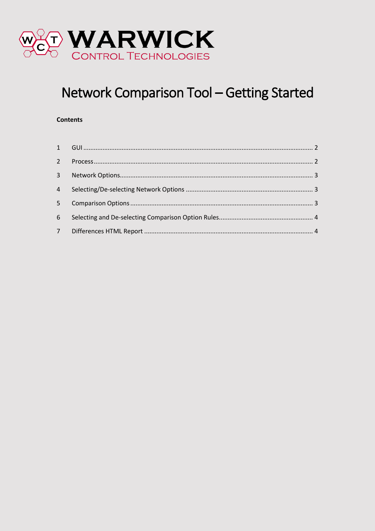

# Network Comparison Tool - Getting Started

#### **Contents**

| $6 -$ |  |
|-------|--|
|       |  |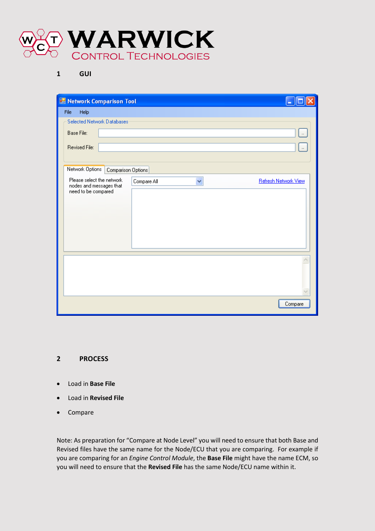

<span id="page-1-0"></span>**1 GUI**

|  | Network Comparison Tool                              |                    |             |   |                      |
|--|------------------------------------------------------|--------------------|-------------|---|----------------------|
|  | File<br>Help                                         |                    |             |   |                      |
|  | Selected Network Databases                           |                    |             |   |                      |
|  | Base File:                                           |                    |             |   |                      |
|  | Revised File:                                        |                    |             |   | $\ldots$             |
|  |                                                      |                    |             |   |                      |
|  | Network Options                                      | Comparison Options |             |   |                      |
|  | Please select the network<br>nodes and messages that |                    | Compare All | Ÿ | Refresh Network View |
|  | need to be compared                                  |                    |             |   |                      |
|  |                                                      |                    |             |   |                      |
|  |                                                      |                    |             |   |                      |
|  |                                                      |                    |             |   |                      |
|  |                                                      |                    |             |   |                      |
|  |                                                      |                    |             |   |                      |
|  |                                                      |                    |             |   |                      |
|  |                                                      |                    |             |   |                      |
|  |                                                      |                    |             |   |                      |
|  |                                                      |                    |             |   |                      |
|  |                                                      |                    |             |   | Compare              |

#### <span id="page-1-1"></span>**2 PROCESS**

- Load in **Base File**
- Load in **Revised File**
- Compare

Note: As preparation for "Compare at Node Level" you will need to ensure that both Base and Revised files have the same name for the Node/ECU that you are comparing. For example if you are comparing for an *Engine Control Module*, the **Base File** might have the name ECM, so you will need to ensure that the **Revised File** has the same Node/ECU name within it.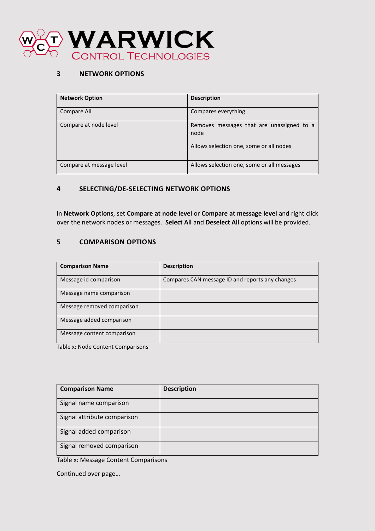

# <span id="page-2-0"></span>**3 NETWORK OPTIONS**

| <b>Network Option</b>    | <b>Description</b>                                |
|--------------------------|---------------------------------------------------|
| Compare All              | Compares everything                               |
| Compare at node level    | Removes messages that are unassigned to a<br>node |
|                          | Allows selection one, some or all nodes           |
| Compare at message level | Allows selection one, some or all messages        |

# <span id="page-2-1"></span>**4 SELECTING/DE-SELECTING NETWORK OPTIONS**

In **Network Options**, set **Compare at node level** or **Compare at message level** and right click over the network nodes or messages. **Select All** and **Deselect All** options will be provided.

# <span id="page-2-2"></span>**5 COMPARISON OPTIONS**

| <b>Comparison Name</b>     | <b>Description</b>                              |
|----------------------------|-------------------------------------------------|
| Message id comparison      | Compares CAN message ID and reports any changes |
| Message name comparison    |                                                 |
| Message removed comparison |                                                 |
| Message added comparison   |                                                 |
| Message content comparison |                                                 |

Table x: Node Content Comparisons

| <b>Comparison Name</b>      | <b>Description</b> |
|-----------------------------|--------------------|
| Signal name comparison      |                    |
| Signal attribute comparison |                    |
| Signal added comparison     |                    |
| Signal removed comparison   |                    |

Table x: Message Content Comparisons

Continued over page…